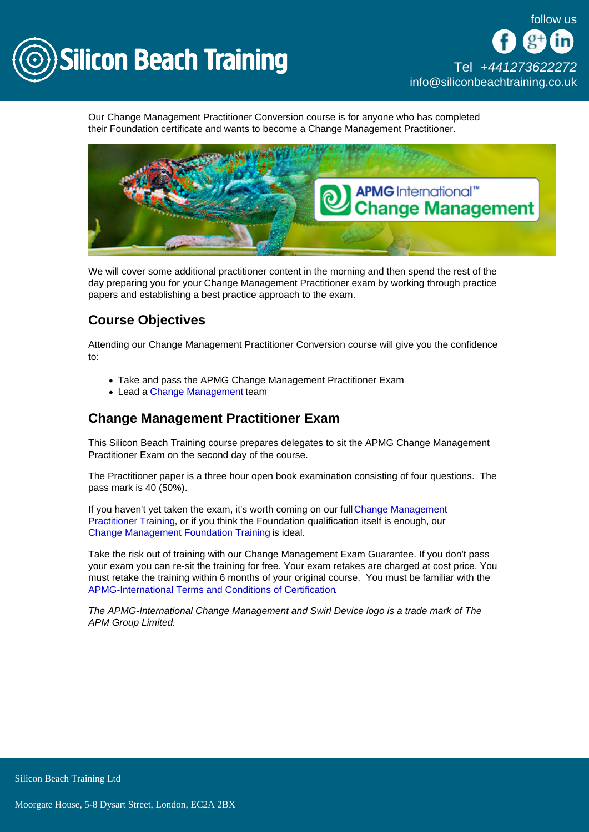

Our Change Management Practitioner Conversion course is for anyone who has completed their Foundation certificate and wants to become a Change Management Practitioner.

We will cover some additional practitioner content in the morning and then spend the rest of the day preparing you for your Change Management Practitioner exam by working through practice papers and establishing a best practice approach to the exam.

# Course Objectives

Attending our Change Management Practitioner Conversion course will give you the confidence to:

- Take and pass the APMG Change Management Practitioner Exam
- Lead a [Change Management](/change-management-training) team

## Change Management Practitioner Exam

This Silicon Beach Training course prepares delegates to sit the APMG Change Management Practitioner Exam on the second day of the course.

The Practitioner paper is a three hour open book examination consisting of four questions. The pass mark is 40 (50%).

If you haven't yet taken the exam, it's worth coming on our full [Change Management](/change-management-training/change-management-practitioner)  [Practitioner Training,](/change-management-training/change-management-practitioner) or if you think the Foundation qualification itself is enough, our [Change Management Foundation Training](/change-management-training/change-management-foundation) is ideal.

Take the risk out of training with our Change Management Exam Guarantee. If you don't pass your exam you can re-sit the training for free. Your exam retakes are charged at cost price. You must retake the training within 6 months of your original course. You must be familiar with the [APMG-International Terms and Conditions of Certification](http://www.apmg-international.com/en/legal-policies/terms-conditions.aspx).

The APMG-International Change Management and Swirl Device logo is a trade mark of The APM Group Limited.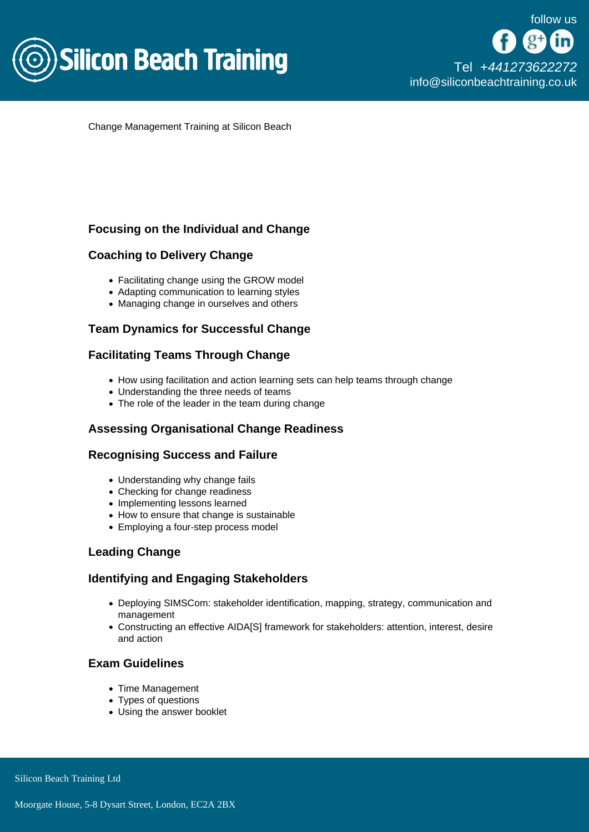

Change Management Training at Silicon Beach

### Focusing on the Individual and Change

### Coaching to Delivery Change

- Facilitating change using the GROW model
- Adapting communication to learning styles
- Managing change in ourselves and others

### Team Dynamics for Successful Change

### Facilitating Teams Through Change

- How using facilitation and action learning sets can help teams through change
- Understanding the three needs of teams
- The role of the leader in the team during change

## Assessing Organisational Change Readiness

### Recognising Success and Failure

- Understanding why change fails
- Checking for change readiness
- Implementing lessons learned
- How to ensure that change is sustainable
- Employing a four-step process model

### Leading Change

### Identifying and Engaging Stakeholders

- Deploying SIMSCom: stakeholder identification, mapping, strategy, communication and management
- Constructing an effective AIDA[S] framework for stakeholders: attention, interest, desire and action

### Exam Guidelines

- Time Management
- Types of questions
- Using the answer booklet

Silicon Beach Training Ltd